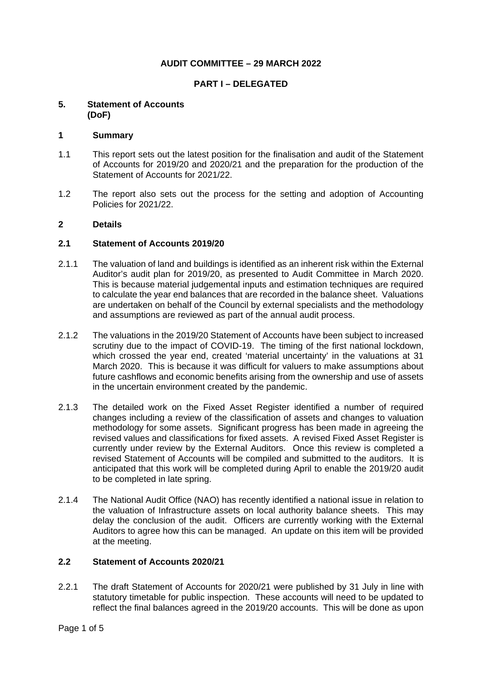## **AUDIT COMMITTEE – 29 MARCH 2022**

## **PART I – DELEGATED**

#### **5. Statement of Accounts (DoF)**

#### **1 Summary**

- 1.1 This report sets out the latest position for the finalisation and audit of the Statement of Accounts for 2019/20 and 2020/21 and the preparation for the production of the Statement of Accounts for 2021/22.
- 1.2 The report also sets out the process for the setting and adoption of Accounting Policies for 2021/22.

#### **2 Details**

### **2.1 Statement of Accounts 2019/20**

- 2.1.1 The valuation of land and buildings is identified as an inherent risk within the External Auditor's audit plan for 2019/20, as presented to Audit Committee in March 2020. This is because material judgemental inputs and estimation techniques are required to calculate the year end balances that are recorded in the balance sheet. Valuations are undertaken on behalf of the Council by external specialists and the methodology and assumptions are reviewed as part of the annual audit process.
- 2.1.2 The valuations in the 2019/20 Statement of Accounts have been subject to increased scrutiny due to the impact of COVID-19. The timing of the first national lockdown, which crossed the year end, created 'material uncertainty' in the valuations at 31 March 2020. This is because it was difficult for valuers to make assumptions about future cashflows and economic benefits arising from the ownership and use of assets in the uncertain environment created by the pandemic.
- 2.1.3 The detailed work on the Fixed Asset Register identified a number of required changes including a review of the classification of assets and changes to valuation methodology for some assets. Significant progress has been made in agreeing the revised values and classifications for fixed assets. A revised Fixed Asset Register is currently under review by the External Auditors. Once this review is completed a revised Statement of Accounts will be compiled and submitted to the auditors. It is anticipated that this work will be completed during April to enable the 2019/20 audit to be completed in late spring.
- 2.1.4 The National Audit Office (NAO) has recently identified a national issue in relation to the valuation of Infrastructure assets on local authority balance sheets. This may delay the conclusion of the audit. Officers are currently working with the External Auditors to agree how this can be managed. An update on this item will be provided at the meeting.

#### **2.2 Statement of Accounts 2020/21**

2.2.1 The draft Statement of Accounts for 2020/21 were published by 31 July in line with statutory timetable for public inspection. These accounts will need to be updated to reflect the final balances agreed in the 2019/20 accounts. This will be done as upon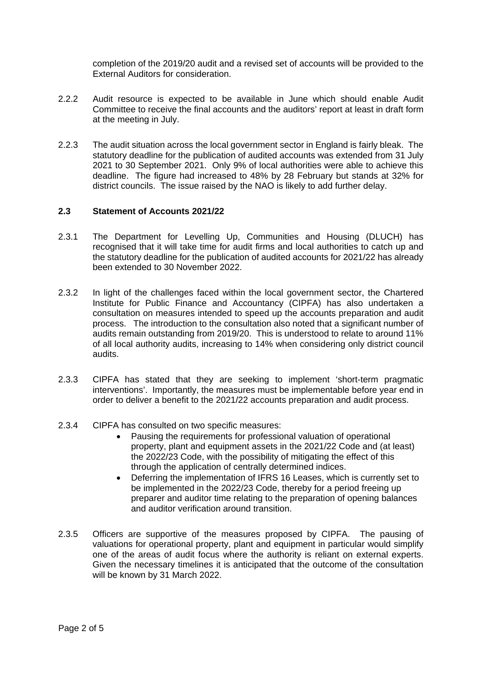completion of the 2019/20 audit and a revised set of accounts will be provided to the External Auditors for consideration.

- 2.2.2 Audit resource is expected to be available in June which should enable Audit Committee to receive the final accounts and the auditors' report at least in draft form at the meeting in July.
- 2.2.3 The audit situation across the local government sector in England is fairly bleak. The statutory deadline for the publication of audited accounts was extended from 31 July 2021 to 30 September 2021. Only 9% of local authorities were able to achieve this deadline. The figure had increased to 48% by 28 February but stands at 32% for district councils. The issue raised by the NAO is likely to add further delay.

## **2.3 Statement of Accounts 2021/22**

- 2.3.1 The Department for Levelling Up, Communities and Housing (DLUCH) has recognised that it will take time for audit firms and local authorities to catch up and the statutory deadline for the publication of audited accounts for 2021/22 has already been extended to 30 November 2022.
- 2.3.2 In light of the challenges faced within the local government sector, the Chartered Institute for Public Finance and Accountancy (CIPFA) has also undertaken a consultation on measures intended to speed up the accounts preparation and audit process. The introduction to the consultation also noted that a significant number of audits remain outstanding from 2019/20. This is understood to relate to around 11% of all local authority audits, increasing to 14% when considering only district council audits.
- 2.3.3 CIPFA has stated that they are seeking to implement 'short-term pragmatic interventions'. Importantly, the measures must be implementable before year end in order to deliver a benefit to the 2021/22 accounts preparation and audit process.
- 2.3.4 CIPFA has consulted on two specific measures:
	- Pausing the requirements for professional valuation of operational property, plant and equipment assets in the 2021/22 Code and (at least) the 2022/23 Code, with the possibility of mitigating the effect of this through the application of centrally determined indices.
	- Deferring the implementation of IFRS 16 Leases, which is currently set to be implemented in the 2022/23 Code, thereby for a period freeing up preparer and auditor time relating to the preparation of opening balances and auditor verification around transition.
- 2.3.5 Officers are supportive of the measures proposed by CIPFA. The pausing of valuations for operational property, plant and equipment in particular would simplify one of the areas of audit focus where the authority is reliant on external experts. Given the necessary timelines it is anticipated that the outcome of the consultation will be known by 31 March 2022.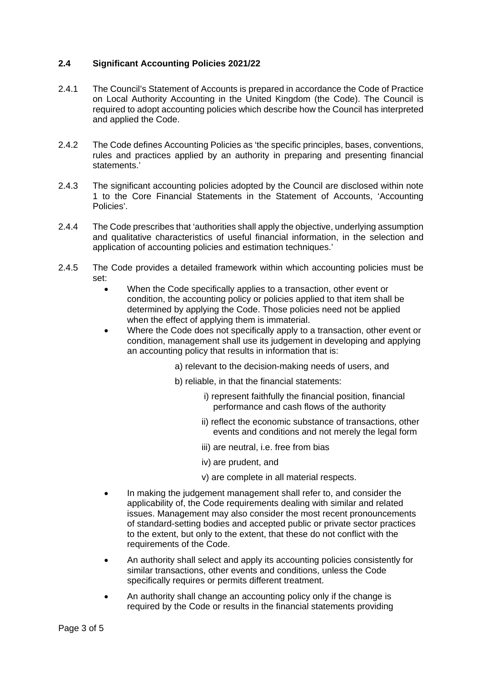## **2.4 Significant Accounting Policies 2021/22**

- 2.4.1 The Council's Statement of Accounts is prepared in accordance the Code of Practice on Local Authority Accounting in the United Kingdom (the Code). The Council is required to adopt accounting policies which describe how the Council has interpreted and applied the Code.
- 2.4.2 The Code defines Accounting Policies as 'the specific principles, bases, conventions, rules and practices applied by an authority in preparing and presenting financial statements.'
- 2.4.3 The significant accounting policies adopted by the Council are disclosed within note 1 to the Core Financial Statements in the Statement of Accounts, 'Accounting Policies'.
- 2.4.4 The Code prescribes that 'authorities shall apply the objective, underlying assumption and qualitative characteristics of useful financial information, in the selection and application of accounting policies and estimation techniques.'
- 2.4.5 The Code provides a detailed framework within which accounting policies must be set:
	- When the Code specifically applies to a transaction, other event or condition, the accounting policy or policies applied to that item shall be determined by applying the Code. Those policies need not be applied when the effect of applying them is immaterial.
	- Where the Code does not specifically apply to a transaction, other event or condition, management shall use its judgement in developing and applying an accounting policy that results in information that is:
		- a) relevant to the decision-making needs of users, and
		- b) reliable, in that the financial statements:
			- i) represent faithfully the financial position, financial performance and cash flows of the authority
			- ii) reflect the economic substance of transactions, other events and conditions and not merely the legal form
			- iii) are neutral, i.e. free from bias
			- iv) are prudent, and
			- v) are complete in all material respects.
	- In making the judgement management shall refer to, and consider the applicability of, the Code requirements dealing with similar and related issues. Management may also consider the most recent pronouncements of standard-setting bodies and accepted public or private sector practices to the extent, but only to the extent, that these do not conflict with the requirements of the Code.
	- An authority shall select and apply its accounting policies consistently for similar transactions, other events and conditions, unless the Code specifically requires or permits different treatment.
	- An authority shall change an accounting policy only if the change is required by the Code or results in the financial statements providing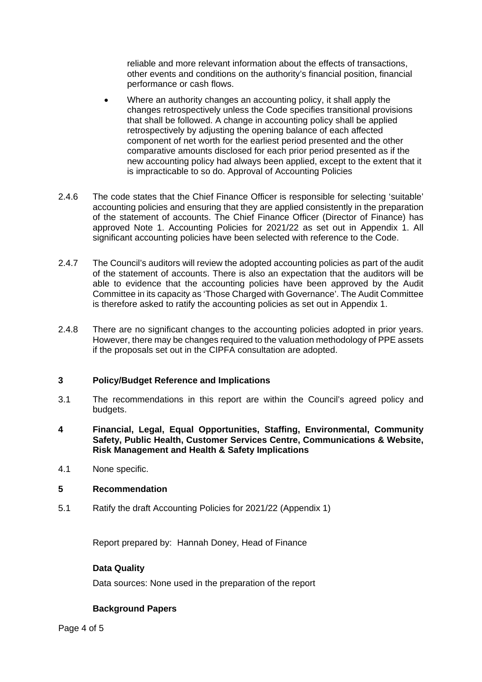reliable and more relevant information about the effects of transactions, other events and conditions on the authority's financial position, financial performance or cash flows.

- Where an authority changes an accounting policy, it shall apply the changes retrospectively unless the Code specifies transitional provisions that shall be followed. A change in accounting policy shall be applied retrospectively by adjusting the opening balance of each affected component of net worth for the earliest period presented and the other comparative amounts disclosed for each prior period presented as if the new accounting policy had always been applied, except to the extent that it is impracticable to so do. Approval of Accounting Policies
- 2.4.6 The code states that the Chief Finance Officer is responsible for selecting 'suitable' accounting policies and ensuring that they are applied consistently in the preparation of the statement of accounts. The Chief Finance Officer (Director of Finance) has approved Note 1. Accounting Policies for 2021/22 as set out in Appendix 1. All significant accounting policies have been selected with reference to the Code.
- 2.4.7 The Council's auditors will review the adopted accounting policies as part of the audit of the statement of accounts. There is also an expectation that the auditors will be able to evidence that the accounting policies have been approved by the Audit Committee in its capacity as 'Those Charged with Governance'. The Audit Committee is therefore asked to ratify the accounting policies as set out in Appendix 1.
- 2.4.8 There are no significant changes to the accounting policies adopted in prior years. However, there may be changes required to the valuation methodology of PPE assets if the proposals set out in the CIPFA consultation are adopted.

## **3 Policy/Budget Reference and Implications**

- 3.1 The recommendations in this report are within the Council's agreed policy and budgets.
- **4 Financial, Legal, Equal Opportunities, Staffing, Environmental, Community Safety, Public Health, Customer Services Centre, Communications & Website, Risk Management and Health & Safety Implications**
- 4.1 None specific.

#### **5 Recommendation**

5.1 Ratify the draft Accounting Policies for 2021/22 (Appendix 1)

Report prepared by: Hannah Doney, Head of Finance

#### **Data Quality**

Data sources: None used in the preparation of the report

## **Background Papers**

Page 4 of 5